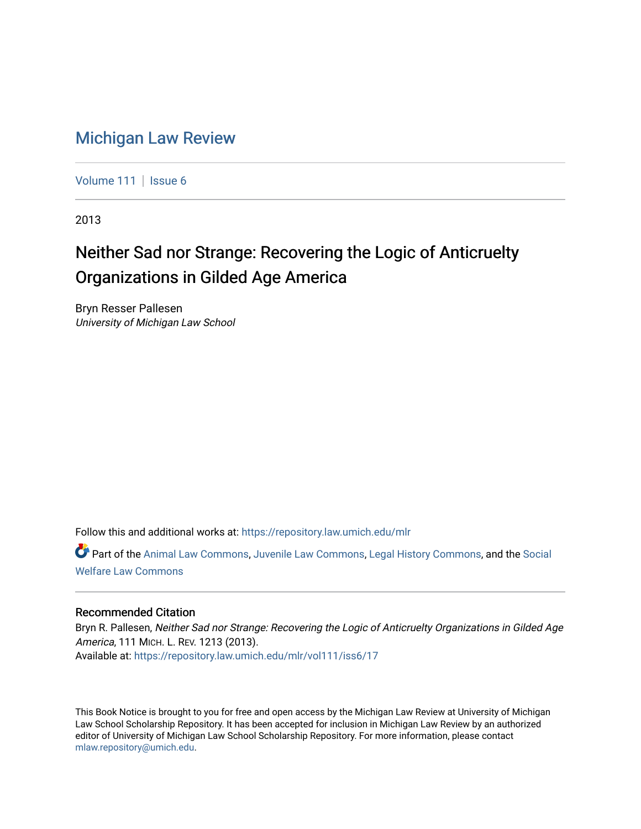# [Michigan Law Review](https://repository.law.umich.edu/mlr)

[Volume 111](https://repository.law.umich.edu/mlr/vol111) | [Issue 6](https://repository.law.umich.edu/mlr/vol111/iss6)

2013

# Neither Sad nor Strange: Recovering the Logic of Anticruelty Organizations in Gilded Age America

Bryn Resser Pallesen University of Michigan Law School

Follow this and additional works at: [https://repository.law.umich.edu/mlr](https://repository.law.umich.edu/mlr?utm_source=repository.law.umich.edu%2Fmlr%2Fvol111%2Fiss6%2F17&utm_medium=PDF&utm_campaign=PDFCoverPages) 

Part of the [Animal Law Commons,](http://network.bepress.com/hgg/discipline/831?utm_source=repository.law.umich.edu%2Fmlr%2Fvol111%2Fiss6%2F17&utm_medium=PDF&utm_campaign=PDFCoverPages) [Juvenile Law Commons](http://network.bepress.com/hgg/discipline/851?utm_source=repository.law.umich.edu%2Fmlr%2Fvol111%2Fiss6%2F17&utm_medium=PDF&utm_campaign=PDFCoverPages), [Legal History Commons,](http://network.bepress.com/hgg/discipline/904?utm_source=repository.law.umich.edu%2Fmlr%2Fvol111%2Fiss6%2F17&utm_medium=PDF&utm_campaign=PDFCoverPages) and the [Social](http://network.bepress.com/hgg/discipline/878?utm_source=repository.law.umich.edu%2Fmlr%2Fvol111%2Fiss6%2F17&utm_medium=PDF&utm_campaign=PDFCoverPages) [Welfare Law Commons](http://network.bepress.com/hgg/discipline/878?utm_source=repository.law.umich.edu%2Fmlr%2Fvol111%2Fiss6%2F17&utm_medium=PDF&utm_campaign=PDFCoverPages)

### Recommended Citation

Bryn R. Pallesen, Neither Sad nor Strange: Recovering the Logic of Anticruelty Organizations in Gilded Age America, 111 MICH. L. REV. 1213 (2013). Available at: [https://repository.law.umich.edu/mlr/vol111/iss6/17](https://repository.law.umich.edu/mlr/vol111/iss6/17?utm_source=repository.law.umich.edu%2Fmlr%2Fvol111%2Fiss6%2F17&utm_medium=PDF&utm_campaign=PDFCoverPages) 

This Book Notice is brought to you for free and open access by the Michigan Law Review at University of Michigan Law School Scholarship Repository. It has been accepted for inclusion in Michigan Law Review by an authorized editor of University of Michigan Law School Scholarship Repository. For more information, please contact [mlaw.repository@umich.edu.](mailto:mlaw.repository@umich.edu)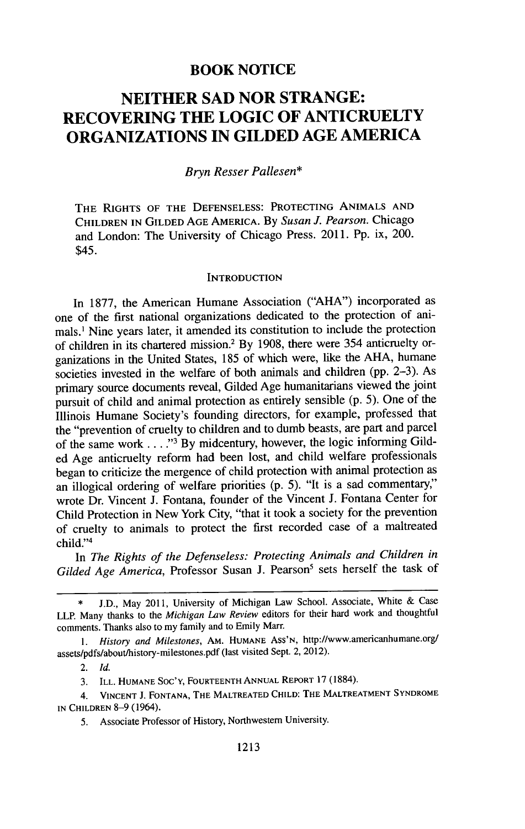## **BOOK NOTICE**

## **NEITHER SAD NOR STRANGE: RECOVERING THE LOGIC OF ANTICRUELTY ORGANIZATIONS IN GILDED AGE AMERICA**

#### *Bryn Resser Pallesen\**

**THE** RIGHTS **OF** THE **DEFENSELESS:** PROTECTING **ANIMALS AND** CHILDREN IN **GILDED AGE** AMERICA. **By** *Susan J. Pearson.* Chicago and London: The University of Chicago Press. 2011. Pp. ix, 200. \$45.

#### **INTRODUCTION**

In **1877,** the American Humane Association ("AHA") incorporated as one of the first national organizations dedicated to the protection of animals.1 Nine years later, it amended its constitution to include the protection of children in its chartered mission. <sup>2</sup>**By** 1908, there were 354 anticruelty organizations in the United States, 185 of which were, like the AHA, humane societies invested in the welfare of both animals and children (pp. 2-3). As primary source documents reveal, Gilded Age humanitarians viewed the joint pursuit of child and animal protection as entirely sensible (p. 5). One of the Illinois Humane Society's founding directors, for example, professed that the "prevention of cruelty to children and to dumb beasts, are part and parcel of the same work .... **-13** By midcentury, however, the logic informing Gilded Age anticruelty reform had been lost, and child welfare professionals began to criticize the mergence of child protection with animal protection as an illogical ordering of welfare priorities (p. 5). "It is a sad commentary," wrote Dr. Vincent J. Fontana, founder of the Vincent **J.** Fontana Center for Child Protection in New York City, "that it took a society for the prevention of cruelty to animals to protect the first recorded case of a maltreated child."<sup>4</sup>

In *The Rights of the Defenseless: Protecting Animals and Children in* Gilded Age America, Professor Susan J. Pearson<sup>5</sup> sets herself the task of

*1. History and Milestones,* AM. HUMANE Ass'N, http://www.americanhumane.org/ assets/pdfs/about/history-milestones.pdf (last visited Sept. 2, 2012).

2. *Id.*

3. ILL. HUMANE Soc'Y, FOURTEENTH **ANNUAL** REPORT 17 (1884).

4. **VINCENT J. FONTANA,** THE **MALTREATED CHILD:** THE MALTREATMENT SYNDROME IN CHILDREN 8-9 (1964).

5. Associate Professor of History, Northwestern University.

J.D., May 2011, University of Michigan Law School. Associate, White & Case LLP. Many thanks to the *Michigan Law Review* editors for their hard work and thoughtful comments. Thanks also to my family and to Emily Marr.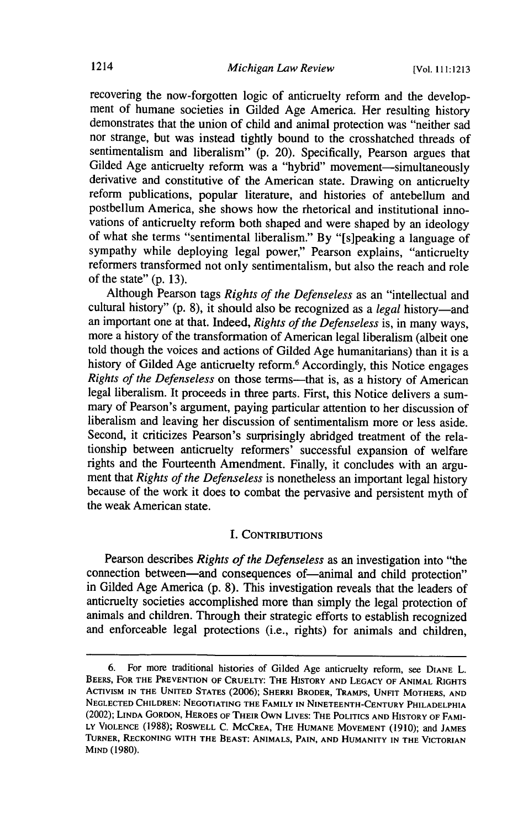recovering the now-forgotten logic of anticruelty reform and the development of humane societies in Gilded Age America. Her resulting history demonstrates that the union of child and animal protection was "neither sad nor strange, but was instead tightly bound to the crosshatched threads of sentimentalism and liberalism" (p. 20). Specifically, Pearson argues that Gilded Age anticruelty reform was a "hybrid" movement-simultaneously derivative and constitutive of the American state. Drawing on anticruelty reform publications, popular literature, and histories of antebellum and postbellum America, she shows how the rhetorical and institutional innovations of anticruelty reform both shaped and were shaped by an ideology of what she terms "sentimental liberalism." By "[s]peaking a language of sympathy while deploying legal power," Pearson explains, "anticruelty reformers transformed not only sentimentalism, but also the reach and role of the state" (p. 13).

Although Pearson tags *Rights of the Defenseless* as an "intellectual and cultural history" (p. 8), it should also be recognized as a *legal* history-and an important one at that. Indeed, *Rights of the Defenseless* is, in many ways, more a history of the transformation of American legal liberalism (albeit one told though the voices and actions of Gilded Age humanitarians) than it is a history of Gilded Age anticruelty reform.<sup>6</sup> Accordingly, this Notice engages Rights of the Defenseless on those terms-that is, as a history of American legal liberalism. It proceeds in three parts. First, this Notice delivers a summary of Pearson's argument, paying particular attention to her discussion of liberalism and leaving her discussion of sentimentalism more or less aside. Second, it criticizes Pearson's surprisingly abridged treatment of the relationship between anticruelty reformers' successful expansion of welfare rights and the Fourteenth Amendment. Finally, it concludes with an argument that *Rights of the Defenseless* is nonetheless an important legal history because of the work it does to combat the pervasive and persistent myth of the weak American state.

#### I. CONTRIBUTIONS

Pearson describes *Rights of the Defenseless* as an investigation into "the connection between-and consequences of-animal and child protection" in Gilded Age America (p. **8).** This investigation reveals that the leaders of anticruelty societies accomplished more than simply the legal protection of animals and children. Through their strategic efforts to establish recognized and enforceable legal protections (i.e., rights) for animals and children,

<sup>6.</sup> For more traditional histories of Gilded Age anticruelty reform, see **DIANE** L. BEERS, **FOR** THE **PREVENTION OF CRUELTY:** THE HISTORY **AND LEGACY** OF **ANIMAL RIGHTS ACTIVISM IN** THE **UNITED STATES** (2006); SHERRI BRODER, TRAMPS, **UNFIT** MOTHERS, **AND NEGLECTED** CHILDREN: **NEGOTIATING** THE FAMILY IN **NINETEENTH-CENTURY** PHILADELPHIA (2002); **LINDA** GORDON, HEROES OF THEIR OWN **LIVES:** THE **POLITICS AND** HISTORY **OF** FAMI-**LY VIOLENCE** (1988); ROSWELL C. MCCREA, THE HUMANE **MOVEMENT** (1910); and **JAMES** TURNER, **RECKONING** WITH THE **BEAST: ANIMALS, PAIN, AND** HUMANITY **IN** THE VICTORIAN **MIND** (1980).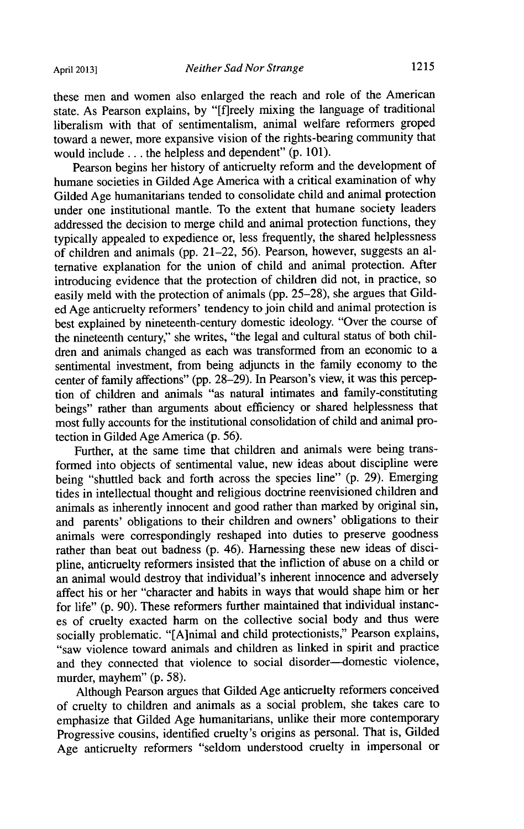these men and women also enlarged the reach and role of the American state. As Pearson explains, by "[f]reely mixing the language of traditional liberalism with that of sentimentalism, animal welfare reformers groped toward a newer, more expansive vision of the rights-bearing community that would include.., the helpless and dependent" (p. 101).

Pearson begins her history of anticruelty reform and the development of humane societies in Gilded Age America with a critical examination of why Gilded Age humanitarians tended to consolidate child and animal protection under one institutional mantle. To the extent that humane society leaders addressed the decision to merge child and animal protection functions, they typically appealed to expedience or, less frequently, the shared helplessness of children and animals (pp. 21-22, 56). Pearson, however, suggests an alternative explanation for the union of child and animal protection. After introducing evidence that the protection of children did not, in practice, so easily meld with the protection of animals (pp. 25-28), she argues that Gilded Age anticruelty reformers' tendency to join child and animal protection is best explained by nineteenth-century domestic ideology. "Over the course of the nineteenth century," she writes, "the legal and cultural status of both children and animals changed as each was transformed from an economic to a sentimental investment, from being adjuncts in the family economy to the center of family affections" (pp. 28-29). In Pearson's view, it was this perception of children and animals "as natural intimates and family-constituting beings" rather than arguments about efficiency or shared helplessness that most fully accounts for the institutional consolidation of child and animal protection in Gilded Age America (p. 56).

Further, at the same time that children and animals were being transformed into objects of sentimental value, new ideas about discipline were being "shuttled back and forth across the species line" (p. 29). Emerging tides in intellectual thought and religious doctrine reenvisioned children and animals as inherently innocent and good rather than marked by original sin, and parents' obligations to their children and owners' obligations to their animals were correspondingly reshaped into duties to preserve goodness rather than beat out badness (p. 46). Harnessing these new ideas of discipline, anticruelty reformers insisted that the infliction of abuse on a child or an animal would destroy that individual's inherent innocence and adversely affect his or her "character and habits in ways that would shape him or her for life" (p. 90). These reformers further maintained that individual instances of cruelty exacted harm on the collective social body and thus were socially problematic. "[A]nimal and child protectionists," Pearson explains, "saw violence toward animals and children as linked in spirit and practice and they connected that violence to social disorder-domestic violence, murder, mayhem" (p. 58).

Although Pearson argues that Gilded Age anticruelty reformers conceived of cruelty to children and animals as a social problem, she takes care to emphasize that Gilded Age humanitarians, unlike their more contemporary Progressive cousins, identified cruelty's origins as personal. That is, Gilded Age anticruelty reformers "seldom understood cruelty in impersonal or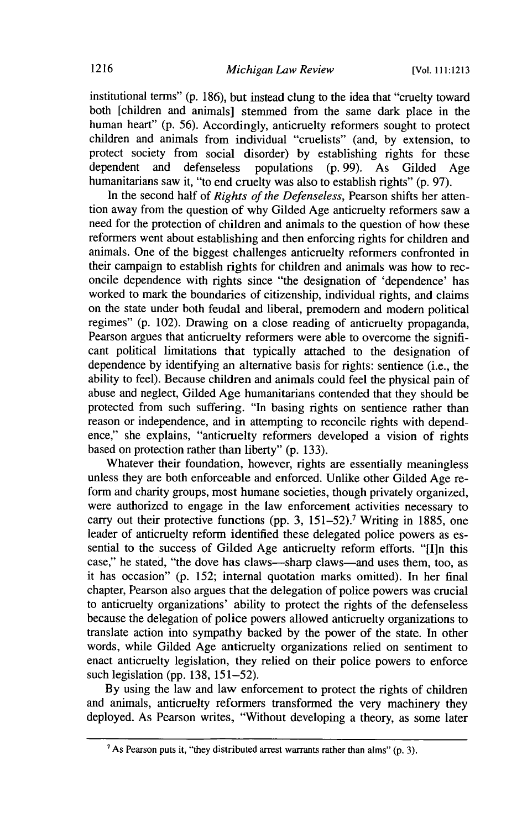institutional terms" (p. 186), but instead clung to the idea that "cruelty toward both [children and animals] stemmed from the same dark place in the human heart" (p. 56). Accordingly, anticruelty reformers sought to protect children and animals from individual "cruelists" (and, by extension, to protect society from social disorder) by establishing rights for these dependent and defenseless populations (p. 99). As Gilded Age humanitarians saw it, "to end cruelty was also to establish rights" (p. 97).

In the second half of *Rights of the Defenseless,* Pearson shifts her attention away from the question of why Gilded Age anticruelty reformers saw a need for the protection of children and animals to the question of how these reformers went about establishing and then enforcing rights for children and animals. One of the biggest challenges anticruelty reformers confronted in their campaign to establish rights for children and animals was how to reconcile dependence with rights since "the designation of 'dependence' has worked to mark the boundaries of citizenship, individual rights, and claims on the state under both feudal and liberal, premodern and modem political regimes" (p. 102). Drawing on a close reading of anticruelty propaganda, Pearson argues that anticruelty reformers were able to overcome the significant political limitations that typically attached to the designation of dependence by identifying an alternative basis for rights: sentience (i.e., the ability to feel). Because children and animals could feel the physical pain of abuse and neglect, Gilded Age humanitarians contended that they should be protected from such suffering. "In basing rights on sentience rather than reason or independence, and in attempting to reconcile rights with dependence," she explains, "anticruelty reformers developed a vision of rights based on protection rather than liberty" (p. 133).

Whatever their foundation, however, rights are essentially meaningless unless they are both enforceable and enforced. Unlike other Gilded Age reform and charity groups, most humane societies, though privately organized, were authorized to engage in the law enforcement activities necessary to carry out their protective functions (pp. 3,  $151-52$ ).<sup>7</sup> Writing in 1885, one leader of anticruelty reform identified these delegated police powers as essential to the success of Gilded Age anticruelty reform efforts. "[I]n this case," he stated, "the dove has claws--sharp claws-and uses them, too, as it has occasion" (p. 152; internal quotation marks omitted). In her final chapter, Pearson also argues that the delegation of police powers was crucial to anticruelty organizations' ability to protect the rights of the defenseless because the delegation of police powers allowed anticruelty organizations to translate action into sympathy backed by the power of the state. In other words, while Gilded Age anticruelty organizations relied on sentiment to enact anticruelty legislation, they relied on their police powers to enforce such legislation (pp. 138, 151-52).

By using the law and law enforcement to protect the rights of children and animals, anticruelty reformers transformed the very machinery they deployed. As Pearson writes, "Without developing a theory, as some later

<sup>&#</sup>x27;As Pearson puts it, "they distributed arrest warrants rather than alms" **(p. 3).**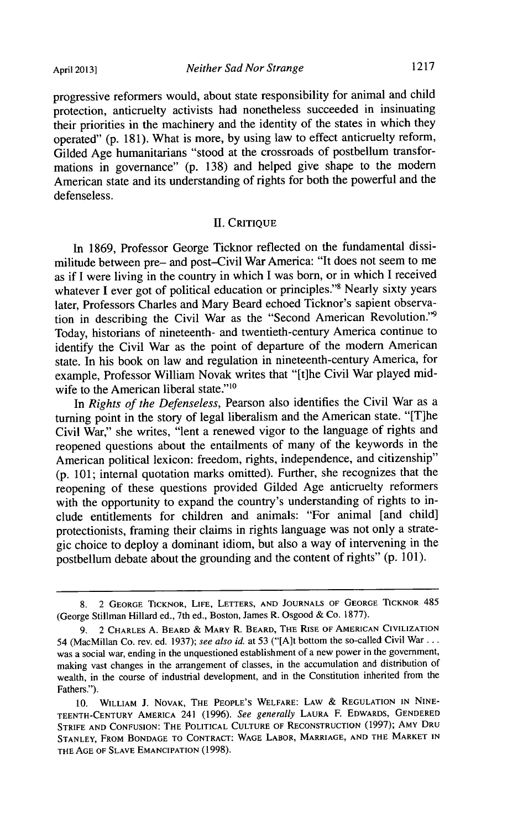progressive reformers would, about state responsibility for animal and child protection, anticruelty activists had nonetheless succeeded in insinuating their priorities in the machinery and the identity of the states in which they operated" (p. 181). What is more, by using law to effect anticruelty reform, Gilded Age humanitarians "stood at the crossroads of postbellum transformations in governance" (p. 138) and helped give shape to the modem American state and its understanding of rights for both the powerful and the defenseless.

#### **H1.** CRITIQUE

In 1869, Professor George Ticknor reflected on the fundamental dissimilitude between pre- and post-Civil War America: "It does not seem to me as if I were living in the country in which I was born, or in which I received whatever I ever got of political education or principles."<sup>8</sup> Nearly sixty years later, Professors Charles and Mary Beard echoed Ticknor's sapient observation in describing the Civil War as the "Second American Revolution."9 Today, historians of nineteenth- and twentieth-century America continue to identify the Civil War as the point of departure of the modem American state. In his book on law and regulation in nineteenth-century America, for example, Professor William Novak writes that "[t]he Civil War played midwife to the American liberal state."<sup>10</sup>

In *Rights of the Defenseless,* Pearson also identifies the Civil War as a turning point in the story of legal liberalism and the American state. "[T]he Civil War," she writes, "lent a renewed vigor to the language of rights and reopened questions about the entailments of many of the keywords in the American political lexicon: freedom, rights, independence, and citizenship" (p. 101; internal quotation marks omitted). Further, she recognizes that the reopening of these questions provided Gilded Age anticruelty reformers with the opportunity to expand the country's understanding of rights to include entitlements for children and animals: "For animal [and child] protectionists, framing their claims in rights language was not only a strategic choice to deploy a dominant idiom, but also a way of intervening in the postbellum debate about the grounding and the content of rights" (p. 101).

<sup>8. 2</sup> GEORGE TICKNOR, LIFE, LETTERS, **AND JOURNALS** OF **GEORGE** TICKNOR 485 (George Stillman Hillard ed., 7th ed., Boston, James R. Osgood & Co. 1877).

<sup>9. 2</sup> CHARLES A. BEARD **&** MARY R. BEARD, THE RISE OF **AMERICAN** CIVILIZATION 54 (MacMillan Co. rev. ed. 1937); *see also id.* at 53 ("[A]t bottom the so-called Civil War... was a social war, ending in the unquestioned establishment of a new power in the government, making vast changes in the arrangement of classes, in the accumulation and distribution of wealth, in the course of industrial development, and in the Constitution inherited from the Fathers.").

<sup>10.</sup> WILLIAM **J. NOVAK,** THE **PEOPLE'S** WELFARE: LAW & **REGULATION IN NINE-TEENTH-CENTURY** AMERICA 241 (1996). *See generally* **LAURA** F. EDWARDS, **GENDERED** STRIFE **AND CONFUSION:** THE POLITICAL **CULTURE** OF **RECONSTRUCTION** (1997); AMY DRU **STANLEY,** FROM **BONDAGE** TO **CONTRACT: WAGE** LABOR, MARRIAGE, **AND** THE MARKET **IN** THE **AGE** OF **SLAVE** EMANCIPATION (1998).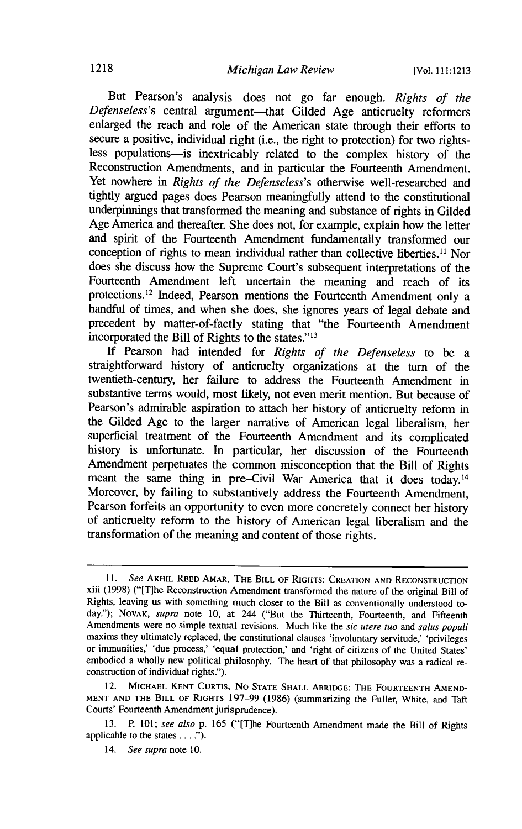But Pearson's analysis does not go far enough. *Rights of the Defenseless's* central argument-that Gilded Age anticruelty reformers enlarged the reach and role of the American state through their efforts to secure a positive, individual right (i.e., the right to protection) for two rightsless populations-is inextricably related to the complex history of the Reconstruction Amendments, and in particular the Fourteenth Amendment. Yet nowhere in *Rights of the Defenseless's* otherwise well-researched and tightly argued pages does Pearson meaningfully attend to the constitutional underpinnings that transformed the meaning and substance of rights in Gilded Age America and thereafter. She does not, for example, explain how the letter and spirit of the Fourteenth Amendment fundamentally transformed our conception of rights to mean individual rather than collective liberties.<sup>11</sup> Nor does she discuss how the Supreme Court's subsequent interpretations of the Fourteenth Amendment left uncertain the meaning and reach of its protections. 12 Indeed, Pearson mentions the Fourteenth Amendment only a handful of times, and when she does, she ignores years of legal debate and precedent by matter-of-factly stating that "the Fourteenth Amendment incorporated the Bill of Rights to the states."<sup>13</sup>

**If** Pearson had intended for *Rights of the Defenseless* to be a straightforward history of anticruelty organizations at the turn of the twentieth-century, her failure to address the Fourteenth Amendment in substantive terms would, most likely, not even merit mention. But because of Pearson's admirable aspiration to attach her history of anticruelty reform in the Gilded Age to the larger narrative of American legal liberalism, her superficial treatment of the Fourteenth Amendment and its complicated history is unfortunate. In particular, her discussion of the Fourteenth Amendment perpetuates the common misconception that the Bill of Rights meant the same thing in pre-Civil War America that it does today.<sup>14</sup> Moreover, by failing to substantively address the Fourteenth Amendment, Pearson forfeits an opportunity to even more concretely connect her history of anticruelty reform to the history of American legal liberalism and the transformation of the meaning and content of those rights.

*<sup>11.</sup> See* AKHIL **REED** AMAR, THE BILL OF **RIGHTS:** CREATION **AND RECONSTRUCTION** xiii (1998) ("[T]he Reconstruction Amendment transformed the nature of the original Bill of Rights, leaving us with something much closer to the Bill as conventionally understood today."); **NOVAK,** *supra* note 10, at 244 ("But the Thirteenth, Fourteenth, and Fifteenth Amendments were no simple textual revisions. Much like the *sic utere tuo and salus populi* maxims they ultimately replaced, the constitutional clauses 'involuntary servitude,' 'privileges or immunities,' 'due process,' 'equal protection,' and 'right of citizens of the United States' embodied a wholly new political philosophy. The heart of that philosophy was a radical reconstruction of individual rights.").

<sup>12.</sup> **MICHAEL KENT** CURTIS, No **STATE SHALL** ABRIDGE: THE FOURTEENTH AMEND-**MENT AND** THE BILL OF RIGHTS 197-99 (1986) (summarizing the Fuller, White, and Taft Courts' Fourteenth Amendment jurisprudence).

<sup>13.</sup> P. 101; *see also* p. 165 ("[T]he Fourteenth Amendment made the Bill of Rights applicable to the states **....").**

<sup>14.</sup> *See supra* note 10.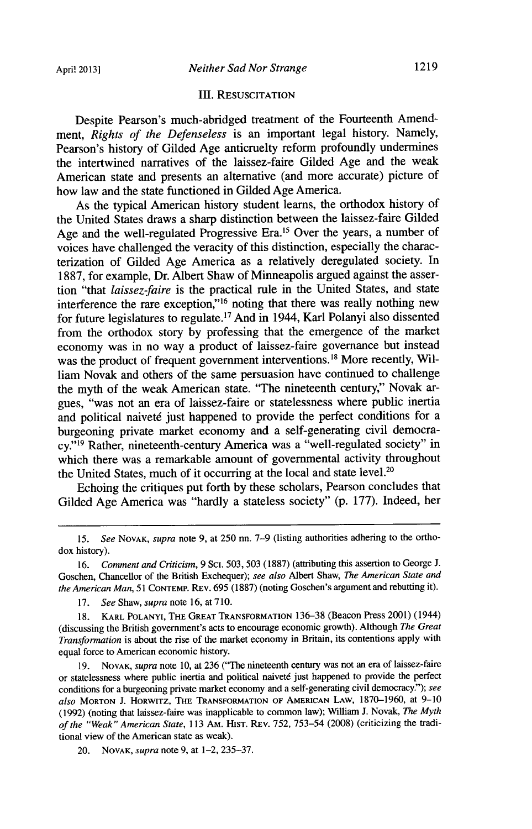#### **III.** RESUSCITATION

Despite Pearson's much-abridged treatment of the Fourteenth Amendment, *Rights of the Defenseless* is an important legal history. Namely, Pearson's history of Gilded Age anticruelty reform profoundly undermines the intertwined narratives of the laissez-faire Gilded Age and the weak American state and presents an alternative (and more accurate) picture of how law and the state functioned in Gilded Age America.

As the typical American history student learns, the orthodox history of the United States draws a sharp distinction between the laissez-faire Gilded Age and the well-regulated Progressive Era.<sup>15</sup> Over the years, a number of voices have challenged the veracity of this distinction, especially the characterization of Gilded Age America as a relatively deregulated society. In 1887, for example, Dr. Albert Shaw of Minneapolis argued against the assertion "that *laissez-faire* is the practical rule in the United States, and state interference the rare exception,"<sup>16</sup> noting that there was really nothing new for future legislatures to regulate. 17 And in 1944, Karl Polanyi also dissented from the orthodox story by professing that the emergence of the market economy was in no way a product of laissez-faire governance but instead was the product of frequent government interventions.<sup>18</sup> More recently, William Novak and others of the same persuasion have continued to challenge the myth of the weak American state. 'The nineteenth century," Novak argues, "was not an era of laissez-faire or statelessness where public inertia and political naiveté just happened to provide the perfect conditions for a burgeoning private market economy and a self-generating civil democracy."<sup>19</sup> Rather, nineteenth-century America was a "well-regulated society" in which there was a remarkable amount of governmental activity throughout the United States, much of it occurring at the local and state level.<sup>26</sup>

Echoing the critiques put forth by these scholars, Pearson concludes that Gilded Age America was "hardly a stateless society" (p. 177). Indeed, her

17. *See* Shaw, *supra* note 16, at 710.

19. **NOVAK,** *supra* note 10, at 236 ('The nineteenth century was not an era of laissez-faire or statelessness where public inertia and political naiveté just happened to provide the perfect conditions for a burgeoning private market economy and a self-generating civil democracy"); *see also* MORTON J. HORWITZ, THE TRANSFORMATION OF **AMERICAN** LAW, 1870-1960, at 9-10 (1992) (noting that laissez-faire was inapplicable to common law); William **J.** Novak, *The Myth of the "Weak" American State,* 113 AM. HIST. REv. 752, 753-54 (2008) (criticizing the traditional view of the American state as weak).

20. **NOVAK,** *supra* note 9, at 1-2, 235-37.

<sup>15.</sup> *See* **NOVAK,** *supra* note 9, at 250 nn. 7-9 (listing authorities adhering to the orthodox history).

<sup>16.</sup> *Comment and Criticism*, 9 Sci. 503, 503 (1887) (attributing this assertion to George J. Goschen, Chancellor of the British Exchequer); *see also* Albert Shaw, *The American State and the American Man, 51* CONTEMP. REV. 695 (1887) (noting Goschen's argument and rebutting it).

KARL POLANYI, THE GREAT TRANSFORMATION 136-38 (Beacon Press 2001) (1944) (discussing the British government's acts to encourage economic growth). Although *The Great Transformation* is about the rise of the market economy in Britain, its contentions apply with equal force to American economic history.